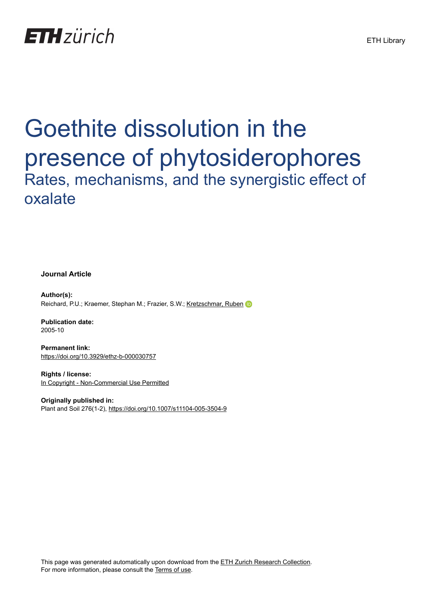# **ETH**zürich

# Goethite dissolution in the presence of phytosiderophores Rates, mechanisms, and the synergistic effect of oxalate

**Journal Article**

**Author(s):** Reichard, P.U.; Kraemer, Stephan M.; Frazier, S.W.; [Kretzschmar, Ruben](https://orcid.org/0000-0003-2587-2430)

**Publication date:** 2005-10

**Permanent link:** <https://doi.org/10.3929/ethz-b-000030757>

**Rights / license:** [In Copyright - Non-Commercial Use Permitted](http://rightsstatements.org/page/InC-NC/1.0/)

**Originally published in:** Plant and Soil 276(1-2),<https://doi.org/10.1007/s11104-005-3504-9>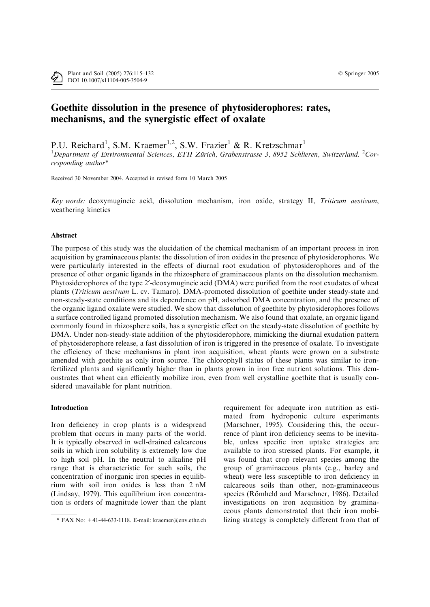# Goethite dissolution in the presence of phytosiderophores: rates, mechanisms, and the synergistic effect of oxalate

P.U. Reichard<sup>1</sup>, S.M. Kraemer<sup>1,2</sup>, S.W. Frazier<sup>1</sup> & R. Kretzschmar<sup>1</sup>

<sup>1</sup>Department of Environmental Sciences, ETH Zürich, Grabenstrasse 3, 8952 Schlieren, Switzerland. <sup>2</sup>Corresponding author\*

Received 30 November 2004. Accepted in revised form 10 March 2005

Key words: deoxymugineic acid, dissolution mechanism, iron oxide, strategy II, Triticum aestivum, weathering kinetics

#### Abstract

The purpose of this study was the elucidation of the chemical mechanism of an important process in iron acquisition by graminaceous plants: the dissolution of iron oxides in the presence of phytosiderophores. We were particularly interested in the effects of diurnal root exudation of phytosiderophores and of the presence of other organic ligands in the rhizosphere of graminaceous plants on the dissolution mechanism. Phytosiderophores of the type 2'-deoxymugineic acid (DMA) were purified from the root exudates of wheat plants (Triticum aestivum L. cv. Tamaro). DMA-promoted dissolution of goethite under steady-state and non-steady-state conditions and its dependence on pH, adsorbed DMA concentration, and the presence of the organic ligand oxalate were studied. We show that dissolution of goethite by phytosiderophores follows a surface controlled ligand promoted dissolution mechanism. We also found that oxalate, an organic ligand commonly found in rhizosphere soils, has a synergistic effect on the steady-state dissolution of goethite by DMA. Under non-steady-state addition of the phytosiderophore, mimicking the diurnal exudation pattern of phytosiderophore release, a fast dissolution of iron is triggered in the presence of oxalate. To investigate the efficiency of these mechanisms in plant iron acquisition, wheat plants were grown on a substrate amended with goethite as only iron source. The chlorophyll status of these plants was similar to ironfertilized plants and significantly higher than in plants grown in iron free nutrient solutions. This demonstrates that wheat can efficiently mobilize iron, even from well crystalline goethite that is usually considered unavailable for plant nutrition.

#### Introduction

Iron deficiency in crop plants is a widespread problem that occurs in many parts of the world. It is typically observed in well-drained calcareous soils in which iron solubility is extremely low due to high soil pH. In the neutral to alkaline pH range that is characteristic for such soils, the concentration of inorganic iron species in equilibrium with soil iron oxides is less than 2 nM (Lindsay, 1979). This equilibrium iron concentration is orders of magnitude lower than the plant

requirement for adequate iron nutrition as estimated from hydroponic culture experiments (Marschner, 1995). Considering this, the occurrence of plant iron deficiency seems to be inevitable, unless specific iron uptake strategies are available to iron stressed plants. For example, it was found that crop relevant species among the group of graminaceous plants (e.g., barley and wheat) were less susceptible to iron deficiency in calcareous soils than other, non-graminaceous species (Römheld and Marschner, 1986). Detailed investigations on iron acquisition by graminaceous plants demonstrated that their iron mobi- \* FAX No: +41-44-633-1118. E-mail: kraemer@env.ethz.ch lizing strategy is completely different from that of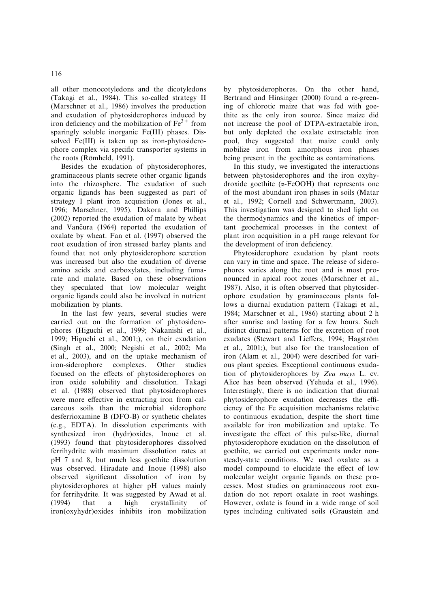all other monocotyledons and the dicotyledons (Takagi et al., 1984). This so-called strategy II (Marschner et al., 1986) involves the production and exudation of phytosiderophores induced by iron deficiency and the mobilization of  $Fe<sup>3+</sup>$  from sparingly soluble inorganic Fe(III) phases. Dissolved Fe(III) is taken up as iron-phytosiderophore complex via specific transporter systems in the roots (Römheld, 1991).

Besides the exudation of phytosiderophores, graminaceous plants secrete other organic ligands into the rhizosphere. The exudation of such organic ligands has been suggested as part of strategy I plant iron acquisition (Jones et al., 1996; Marschner, 1995). Dakora and Phillips (2002) reported the exudation of malate by wheat and Vančura (1964) reported the exudation of oxalate by wheat. Fan et al. (1997) observed the root exudation of iron stressed barley plants and found that not only phytosiderophore secretion was increased but also the exudation of diverse amino acids and carboxylates, including fumarate and malate. Based on these observations they speculated that low molecular weight organic ligands could also be involved in nutrient mobilization by plants.

In the last few years, several studies were carried out on the formation of phytosiderophores (Higuchi et al., 1999; Nakanishi et al., 1999; Higuchi et al., 2001;), on their exudation (Singh et al., 2000; Negishi et al., 2002; Ma et al., 2003), and on the uptake mechanism of iron-siderophore complexes. Other studies focused on the effects of phytosiderophores on iron oxide solubility and dissolution. Takagi et al. (1988) observed that phytosiderophores were more effective in extracting iron from calcareous soils than the microbial siderophore desferrioxamine B (DFO-B) or synthetic chelates (e.g., EDTA). In dissolution experiments with synthesized iron (hydr)oxides, Inoue et al. (1993) found that phytosiderophores dissolved ferrihydrite with maximum dissolution rates at pH 7 and 8, but much less goethite dissolution was observed. Hiradate and Inoue (1998) also observed significant dissolution of iron by phytosiderophores at higher pH values mainly for ferrihydrite. It was suggested by Awad et al. (1994) that a high crystallinity of iron(oxyhydr)oxides inhibits iron mobilization

by phytosiderophores. On the other hand, Bertrand and Hinsinger (2000) found a re-greening of chlorotic maize that was fed with goethite as the only iron source. Since maize did not increase the pool of DTPA-extractable iron, but only depleted the oxalate extractable iron pool, they suggested that maize could only mobilize iron from amorphous iron phases being present in the goethite as contaminations.

In this study, we investigated the interactions between phytosiderophores and the iron oxyhydroxide goethite (a-FeOOH) that represents one of the most abundant iron phases in soils (Matar et al., 1992; Cornell and Schwertmann, 2003). This investigation was designed to shed light on the thermodynamics and the kinetics of important geochemical processes in the context of plant iron acquisition in a pH range relevant for the development of iron deficiency.

Phytosiderophore exudation by plant roots can vary in time and space. The release of siderophores varies along the root and is most pronounced in apical root zones (Marschner et al., 1987). Also, it is often observed that phytosiderophore exudation by graminaceous plants follows a diurnal exudation pattern (Takagi et al., 1984; Marschner et al., 1986) starting about 2 h after sunrise and lasting for a few hours. Such distinct diurnal patterns for the excretion of root exudates (Stewart and Lieffers, 1994; Hagström et al., 2001;), but also for the translocation of iron (Alam et al., 2004) were described for various plant species. Exceptional continuous exudation of phytosiderophores by Zea mays L. cv. Alice has been observed (Yehuda et al., 1996). Interestingly, there is no indication that diurnal phytosiderophore exudation decreases the efficiency of the Fe acquisition mechanisms relative to continuous exudation, despite the short time available for iron mobilization and uptake. To investigate the effect of this pulse-like, diurnal phytosiderophore exudation on the dissolution of goethite, we carried out experiments under nonsteady-state conditions. We used oxalate as a model compound to elucidate the effect of low molecular weight organic ligands on these processes. Most studies on graminaceous root exudation do not report oxalate in root washings. However, oxlate is found in a wide range of soil types including cultivated soils (Graustein and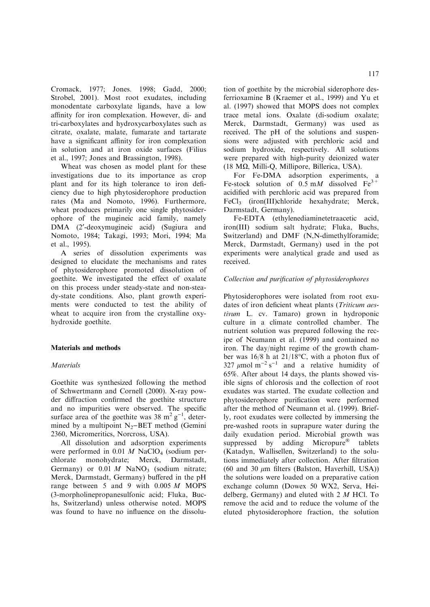Cromack, 1977; Jones. 1998; Gadd, 2000; Strobel, 2001). Most root exudates, including monodentate carboxylate ligands, have a low affinity for iron complexation. However, di- and tri-carboxylates and hydroxycarboxylates such as citrate, oxalate, malate, fumarate and tartarate have a significant affinity for iron complexation in solution and at iron oxide surfaces (Filius et al., 1997; Jones and Brassington, 1998).

Wheat was chosen as model plant for these investigations due to its importance as crop plant and for its high tolerance to iron deficiency due to high phytosiderophore production rates (Ma and Nomoto, 1996). Furthermore, wheat produces primarily one single phytosiderophore of the mugineic acid family, namely DMA (2'-deoxymugineic acid) (Sugiura and Nomoto, 1984; Takagi, 1993; Mori, 1994; Ma et al., 1995).

A series of dissolution experiments was designed to elucidate the mechanisms and rates of phytosiderophore promoted dissolution of goethite. We investigated the effect of oxalate on this process under steady-state and non-steady-state conditions. Also, plant growth experiments were conducted to test the ability of wheat to acquire iron from the crystalline oxyhydroxide goethite.

#### Materials and methods

#### **Materials**

Goethite was synthesized following the method of Schwertmann and Cornell (2000). X-ray powder diffraction confirmed the goethite structure and no impurities were observed. The specific surface area of the goethite was 38 m<sup>2</sup> g<sup>-1</sup>, determined by a multipoint  $N_2$ -BET method (Gemini 2360, Micromeritics, Norcross, USA).

All dissolution and adsorption experiments were performed in  $0.01$  *M* NaClO<sub>4</sub> (sodium perchlorate monohydrate; Merck, Darmstadt, Germany) or  $0.01 M$  NaNO<sub>3</sub> (sodium nitrate; Merck, Darmstadt, Germany) buffered in the pH range between 5 and 9 with 0.005 M MOPS (3-morpholinepropanesulfonic acid; Fluka, Buchs, Switzerland) unless otherwise noted. MOPS was found to have no influence on the dissolution of goethite by the microbial siderophore desferrioxamine B (Kraemer et al., 1999) and Yu et al. (1997) showed that MOPS does not complex trace metal ions. Oxalate (di-sodium oxalate; Merck, Darmstadt, Germany) was used as received. The pH of the solutions and suspensions were adjusted with perchloric acid and sodium hydroxide, respectively. All solutions were prepared with high-purity deionized water (18 MX, Milli-Q, Millipore, Billerica, USA).

For Fe-DMA adsorption experiments, a Fe-stock solution of 0.5 mM dissolved  $Fe^{3+}$ acidified with perchloric acid was prepared from FeCl<sub>3</sub> (iron(III)chloride hexahydrate; Merck, Darmstadt, Germany).

Fe-EDTA (ethylenediaminetetraacetic acid, iron(III) sodium salt hydrate; Fluka, Buchs, Switzerland) and DMF (N,N-dimethylforamide; Merck, Darmstadt, Germany) used in the pot experiments were analytical grade and used as received.

### Collection and purification of phytosiderophores

Phytosiderophores were isolated from root exudates of iron deficient wheat plants (Triticum aestivum L. cv. Tamaro) grown in hydroponic culture in a climate controlled chamber. The nutrient solution was prepared following the recipe of Neumann et al. (1999) and contained no iron. The day/night regime of the growth chamber was  $16/8$  h at  $21/18$ °C, with a photon flux of 327  $\mu$ mol m<sup>-2</sup> s<sup>-1</sup> and a relative humidity of 65%. After about 14 days, the plants showed visible signs of chlorosis and the collection of root exudates was started. The exudate collection and phytosiderophore purification were performed after the method of Neumann et al. (1999). Briefly, root exudates were collected by immersing the pre-washed roots in suprapure water during the daily exudation period. Microbial growth was suppressed by adding Micropure<sup>®</sup> tablets (Katadyn, Wallisellen, Switzerland) to the solutions immediately after collection. After filtration (60 and 30  $\mu$ m filters (Balston, Haverhill, USA)) the solutions were loaded on a preparative cation exchange column (Dowex 50 WX2, Serva, Heidelberg, Germany) and eluted with 2 M HCl. To remove the acid and to reduce the volume of the eluted phytosiderophore fraction, the solution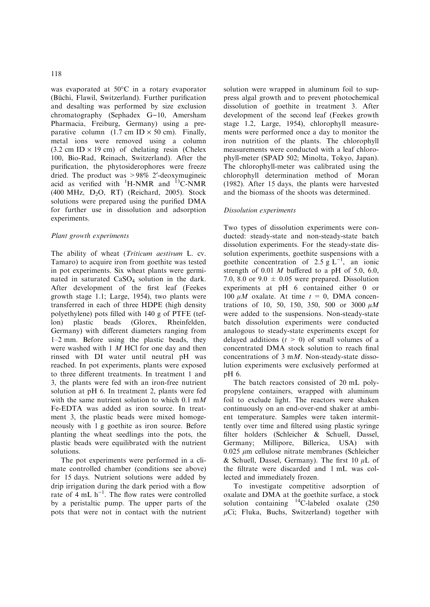was evaporated at  $50^{\circ}$ C in a rotary evaporator (Büchi, Flawil, Switzerland). Further purification and desalting was performed by size exclusion chromatography (Sephadex G-10, Amersham Pharmacia, Freiburg, Germany) using a preparative column  $(1.7 \text{ cm ID} \times 50 \text{ cm})$ . Finally, metal ions were removed using a column  $(3.2 \text{ cm ID} \times 19 \text{ cm})$  of chelating resin (Chelex 100, Bio-Rad, Reinach, Switzerland). After the purification, the phytosiderophores were freeze dried. The product was  $>98\%$  2'-deoxymugineic acid as verified with  ${}^{1}$ H-NMR and  ${}^{13}$ C-NMR (400 MHz, D<sub>2</sub>O, RT) (Reichard, 2005). Stock solutions were prepared using the purified DMA for further use in dissolution and adsorption experiments.

#### Plant growth experiments

The ability of wheat (Triticum aestivum L. cv. Tamaro) to acquire iron from goethite was tested in pot experiments. Six wheat plants were germinated in saturated CaSO<sub>4</sub> solution in the dark. After development of the first leaf (Feekes growth stage 1.1; Large, 1954), two plants were transferred in each of three HDPE (high density polyethylene) pots filled with 140 g of PTFE (teflon) plastic beads (Glorex, Rheinfelden, Germany) with different diameters ranging from 1–2 mm. Before using the plastic beads, they were washed with  $1 M$  HCl for one day and then rinsed with DI water until neutral pH was reached. In pot experiments, plants were exposed to three different treatments. In treatment 1 and 3, the plants were fed with an iron-free nutrient solution at pH 6. In treatment 2, plants were fed with the same nutrient solution to which  $0.1 \text{ m}$ Fe-EDTA was added as iron source. In treatment 3, the plastic beads were mixed homogeneously with 1 g goethite as iron source. Before planting the wheat seedlings into the pots, the plastic beads were equilibrated with the nutrient solutions.

The pot experiments were performed in a climate controlled chamber (conditions see above) for 15 days. Nutrient solutions were added by drip irrigation during the dark period with a flow rate of  $\overline{4}$  mL h<sup>-1</sup>. The flow rates were controlled by a peristaltic pump. The upper parts of the pots that were not in contact with the nutrient solution were wrapped in aluminum foil to suppress algal growth and to prevent photochemical dissolution of goethite in treatment 3. After development of the second leaf (Feekes growth stage 1.2, Large, 1954), chlorophyll measurements were performed once a day to monitor the iron nutrition of the plants. The chlorophyll measurements were conducted with a leaf chlorophyll-meter (SPAD 502; Minolta, Tokyo, Japan). The chlorophyll-meter was calibrated using the chlorophyll determination method of Moran (1982). After 15 days, the plants were harvested and the biomass of the shoots was determined.

### Dissolution experiments

Two types of dissolution experiments were conducted: steady-state and non-steady-state batch dissolution experiments. For the steady-state dissolution experiments, goethite suspensions with a goethite concentration of 2.5  $g L^{-1}$ , an ionic strength of 0.01  $M$  buffered to a pH of 5.0, 6.0, 7.0, 8.0 or 9.0  $\pm$  0.05 were prepared. Dissolution experiments at pH 6 contained either 0 or 100  $\mu$ M oxalate. At time  $t = 0$ , DMA concentrations of 10, 50, 150, 350, 500 or 3000  $\mu$ M were added to the suspensions. Non-steady-state batch dissolution experiments were conducted analogous to steady-state experiments except for delayed additions  $(t > 0)$  of small volumes of a concentrated DMA stock solution to reach final concentrations of 3 mM. Non-steady-state dissolution experiments were exclusively performed at pH 6.

The batch reactors consisted of 20 mL polypropylene containers, wrapped with aluminum foil to exclude light. The reactors were shaken continuously on an end-over-end shaker at ambient temperature. Samples were taken intermittently over time and filtered using plastic syringe filter holders (Schleicher & Schuell, Dassel, Germany; Millipore, Billerica, USA) with  $0.025 \mu m$  cellulose nitrate membranes (Schleicher & Schuell, Dassel, Germany). The first 10  $\mu$ L of the filtrate were discarded and 1 mL was collected and immediately frozen.

To investigate competitive adsorption of oxalate and DMA at the goethite surface, a stock solution containing  $^{14}$ C-labeled oxalate (250)  $\mu$ Ci; Fluka, Buchs, Switzerland) together with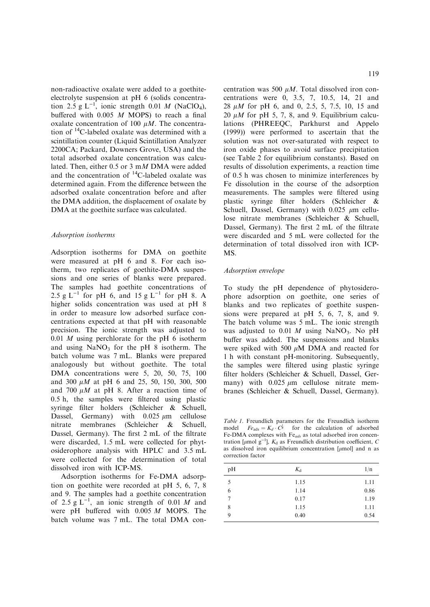non-radioactive oxalate were added to a goethiteelectrolyte suspension at pH 6 (solids concentration 2.5 g  $L^{-1}$ , ionic strength 0.01 M (NaClO<sub>4</sub>), buffered with  $0.005$  *M* MOPS) to reach a final oxalate concentration of 100  $\mu$ M. The concentration of 14C-labeled oxalate was determined with a scintillation counter (Liquid Scintillation Analyzer 2200CA; Packard, Downers Grove, USA) and the total adsorbed oxalate concentration was calculated. Then, either 0.5 or 3 mM DMA were added and the concentration of 14C-labeled oxalate was determined again. From the difference between the adsorbed oxalate concentration before and after the DMA addition, the displacement of oxalate by DMA at the goethite surface was calculated.

#### Adsorption isotherms

Adsorption isotherms for DMA on goethite were measured at pH 6 and 8. For each isotherm, two replicates of goethite-DMA suspensions and one series of blanks were prepared. The samples had goethite concentrations of 2.5 g  $L^{-1}$  for pH 6, and 15 g  $L^{-1}$  for pH 8. A higher solids concentration was used at pH 8 in order to measure low adsorbed surface concentrations expected at that pH with reasonable precision. The ionic strength was adjusted to 0.01  $M$  using perchlorate for the pH 6 isotherm and using  $NaNO<sub>3</sub>$  for the pH 8 isotherm. The batch volume was 7 mL. Blanks were prepared analogously but without goethite. The total DMA concentrations were 5, 20, 50, 75, 100 and 300  $\mu$ M at pH 6 and 25, 50, 150, 300, 500 and 700  $\mu$ M at pH 8. After a reaction time of 0.5 h, the samples were filtered using plastic syringe filter holders (Schleicher & Schuell, Dassel, Germany) with  $0.025 \mu m$  cellulose nitrate membranes (Schleicher & Schuell, Dassel, Germany). The first 2 mL of the filtrate were discarded, 1.5 mL were collected for phytosiderophore analysis with HPLC and 3.5 mL were collected for the determination of total dissolved iron with ICP-MS.

Adsorption isotherms for Fe-DMA adsorption on goethite were recorded at pH 5, 6, 7, 8 and 9. The samples had a goethite concentration of 2.5 g  $L^{-1}$ , an ionic strength of 0.01 M and were pH buffered with 0.005 M MOPS. The batch volume was 7 mL. The total DMA concentration was 500  $\mu$ *M*. Total dissolved iron concentrations were 0, 3.5, 7, 10.5, 14, 21 and  $28 \mu M$  for pH 6, and 0, 2.5, 5, 7.5, 10, 15 and 20  $\mu$ M for pH 5, 7, 8, and 9. Equilibrium calculations (PHREEQC, Parkhurst and Appelo (1999)) were performed to ascertain that the solution was not over-saturated with respect to iron oxide phases to avoid surface precipitation (see Table 2 for equilibrium constants). Based on results of dissolution experiments, a reaction time of 0.5 h was chosen to minimize interferences by Fe dissolution in the course of the adsorption measurements. The samples were filtered using plastic syringe filter holders (Schleicher & Schuell, Dassel, Germany) with  $0.025 \mu m$  cellulose nitrate membranes (Schleicher & Schuell, Dassel, Germany). The first 2 mL of the filtrate were discarded and 5 mL were collected for the determination of total dissolved iron with ICP-MS.

#### Adsorption envelope

To study the pH dependence of phytosiderophore adsorption on goethite, one series of blanks and two replicates of goethite suspensions were prepared at pH 5, 6, 7, 8, and 9. The batch volume was 5 mL. The ionic strength was adjusted to 0.01  $M$  using NaNO<sub>3</sub>. No pH buffer was added. The suspensions and blanks were spiked with 500  $\mu$ M DMA and reacted for 1 h with constant pH-monitoring. Subsequently, the samples were filtered using plastic syringe filter holders (Schleicher & Schuell, Dassel, Germany) with  $0.025 \mu m$  cellulose nitrate membranes (Schleicher & Schuell, Dassel, Germany).

Table 1. Freundlich parameters for the Freundlich isotherm model  $Fe_{ads} = K_d \cdot \hat{C}_n^{\perp}$  for the calculation of adsorbed Fe-DMA complexes with  $Fe_{ads}$  as total adsorbed iron concentration [ $\mu$ mol g<sup>-1</sup>],  $K_d$  as Freundlich distribution coefficient, C as dissolved iron equilibrium concentration  $[µmol]$  and n as correction factor

| pH | $K_{d}$ | 1/n  |
|----|---------|------|
| 5  | 1.15    | 1.11 |
| 6  | 1.14    | 0.86 |
| 7  | 0.17    | 1.19 |
| 8  | 1.15    | 1.11 |
| 9  | 0.40    | 0.54 |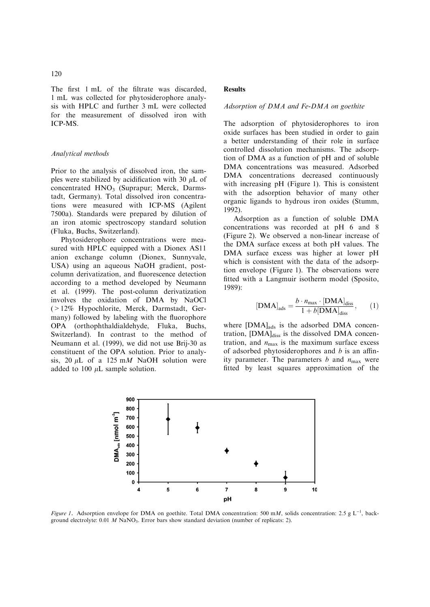# The first 1 mL of the filtrate was discarded, 1 mL was collected for phytosiderophore analysis with HPLC and further 3 mL were collected for the measurement of dissolved iron with ICP-MS.

#### Analytical methods

Prior to the analysis of dissolved iron, the samples were stabilized by acidification with 30  $\mu$ L of concentrated HNO<sub>3</sub> (Suprapur: Merck, Darmstadt, Germany). Total dissolved iron concentrations were measured with ICP-MS (Agilent 7500a). Standards were prepared by dilution of an iron atomic spectroscopy standard solution (Fluka, Buchs, Switzerland).

Phytosiderophore concentrations were measured with HPLC equipped with a Dionex AS11 anion exchange column (Dionex, Sunnyvale, USA) using an aqueous NaOH gradient, postcolumn derivatization, and fluorescence detection according to a method developed by Neumann et al. (1999). The post-column derivatization involves the oxidation of DMA by NaOCl (>12% Hypochlorite, Merck, Darmstadt, Germany) followed by labeling with the fluorophore OPA (orthophthaldialdehyde, Fluka, Buchs, Switzerland). In contrast to the method of Neumann et al. (1999), we did not use Brij-30 as constituent of the OPA solution. Prior to analysis,  $20 \mu L$  of a 125 mM NaOH solution were added to 100  $\mu$ L sample solution.

#### Results

#### Adsorption of DMA and Fe-DMA on goethite

The adsorption of phytosiderophores to iron oxide surfaces has been studied in order to gain a better understanding of their role in surface controlled dissolution mechanisms. The adsorption of DMA as a function of pH and of soluble DMA concentrations was measured. Adsorbed DMA concentrations decreased continuously with increasing pH (Figure 1). This is consistent with the adsorption behavior of many other organic ligands to hydrous iron oxides (Stumm, 1992).

Adsorption as a function of soluble DMA concentrations was recorded at pH 6 and 8 (Figure 2). We observed a non-linear increase of the DMA surface excess at both pH values. The DMA surface excess was higher at lower pH which is consistent with the data of the adsorption envelope (Figure 1). The observations were fitted with a Langmuir isotherm model (Sposito, 1989):

$$
[\text{DMA}]_{\text{ads}} = \frac{b \cdot n_{\text{max}} \cdot [\text{DMA}]_{\text{diss}}}{1 + b[\text{DMA}]_{\text{diss}}},\qquad(1)
$$

where  $[DMA]_{ads}$  is the adsorbed DMA concentration,  $[DMA]_{\text{diss}}$  is the dissolved DMA concentration, and  $n_{\text{max}}$  is the maximum surface excess of adsorbed phytosiderophores and  $b$  is an affinity parameter. The parameters  $b$  and  $n_{\text{max}}$  were fitted by least squares approximation of the



Figure 1. Adsorption envelope for DMA on goethite. Total DMA concentration: 500 mM, solids concentration: 2.5 g L<sup>-1</sup>, background electrolyte:  $0.01 \, M \text{ NaNO}_3$ . Error bars show standard deviation (number of replicats: 2).

#### 120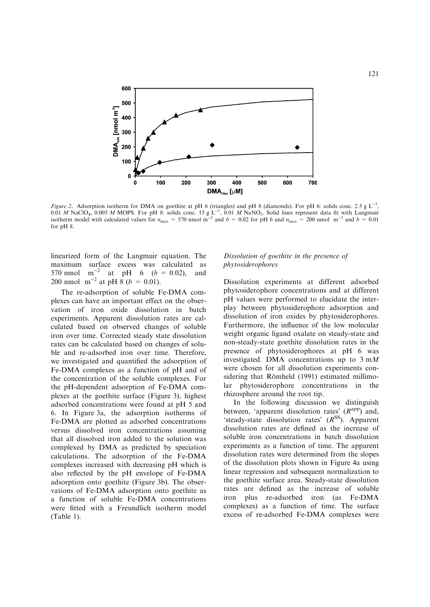

Figure 2. Adsorption isotherm for DMA on goethite at pH 6 (triangles) and pH 8 (diamonds). For pH 6: solids conc. 2.5 g  $L^{-1}$ , 0.01 M NaClO<sub>4</sub>, 0.005 M MOPS. For pH 8: solids conc. 15 g L<sup>-1</sup>, 0.01 M NaNO<sub>3</sub>. Solid lines represent data fit with Langmuir isotherm model with calculated values for  $n_{\text{max}} = 570$  nmol m<sup>-2</sup> and  $b = 0.02$  for pH 6 and  $n_{\text{max}} = 200$  nmol m<sup>-2</sup> and  $b = 0.01$ for pH 8.

linearized form of the Langmuir equation. The maximum surface excess was calculated as 570 nmol  $m^{-2}$  at pH 6 ( $b = 0.02$ ), and 200 nmol m<sup>-2</sup> at pH 8 ( $b = 0.01$ ).

The re-adsorption of soluble Fe-DMA complexes can have an important effect on the observation of iron oxide dissolution in batch experiments. Apparent dissolution rates are calculated based on observed changes of soluble iron over time. Corrected steady state dissolution rates can be calculated based on changes of soluble and re-adsorbed iron over time. Therefore, we investigated and quantified the adsorption of Fe-DMA complexes as a function of pH and of the concentration of the soluble complexes. For the pH-dependent adsorption of Fe-DMA complexes at the goethite surface (Figure 3), highest adsorbed concentrations were found at pH 5 and 6. In Figure 3a, the adsorption isotherms of Fe-DMA are plotted as adsorbed concentrations versus dissolved iron concentrations assuming that all dissolved iron added to the solution was complexed by DMA as predicted by speciation calculations. The adsorption of the Fe-DMA complexes increased with decreasing pH which is also reflected by the pH envelope of Fe-DMA adsorption onto goethite (Figure 3b). The observations of Fe-DMA adsorption onto goethite as a function of soluble Fe-DMA concentrations were fitted with a Freundlich isotherm model (Table 1).

# Dissolution of goethite in the presence of phytosiderophores

Dissolution experiments at different adsorbed phytosiderophore concentrations and at different pH values were performed to elucidate the interplay between phytosiderophore adsorption and dissolution of iron oxides by phytosiderophores. Furthermore, the influence of the low molecular weight organic ligand oxalate on steady-state and non-steady-state goethite dissolution rates in the presence of phytosiderophores at pH 6 was investigated. DMA concentrations up to  $3 \text{ m}$ were chosen for all dissolution experiments considering that Römheld (1991) estimated millimolar phytosiderophore concentrations in the rhizosphere around the root tip.

In the following discussion we distinguish between, 'apparent dissolution rates'  $(R<sup>app</sup>)$  and, 'steady-state dissolution rates'  $(R^{SS})$ . Apparent dissolution rates are defined as the increase of soluble iron concentrations in batch dissolution experiments as a function of time. The apparent dissolution rates were determined from the slopes of the dissolution plots shown in Figure 4a using linear regression and subsequent normalization to the goethite surface area. Steady-state dissolution rates are defined as the increase of soluble iron plus re-adsorbed iron (as Fe-DMA complexes) as a function of time. The surface excess of re-adsorbed Fe-DMA complexes were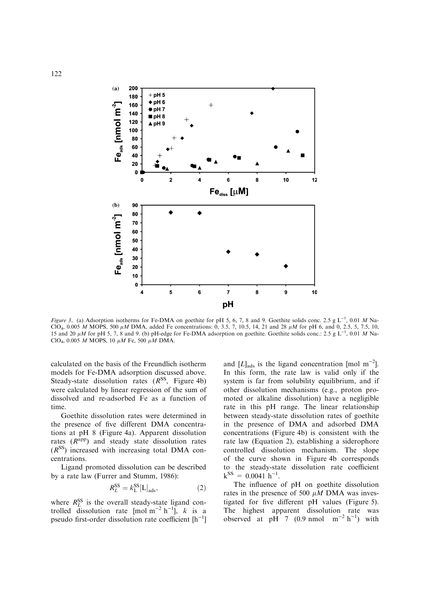

Figure 3. (a) Adsorption isotherms for Fe-DMA on goethite for pH 5, 6, 7, 8 and 9. Goethite solids conc. 2.5 g  $L^{-1}$ , 0.01 M Na-ClO<sub>4</sub>, 0.005 M MOPS, 500  $\mu$ M DMA, added Fe concentrations: 0, 3.5, 7, 10.5, 14, 21 and 28  $\mu$ M for pH 6, and 0, 2.5, 5, 7.5, 10, 15 and 20  $\mu$ M for pH 5, 7, 8 and 9. (b) pH-edge for Fe-DMA adsorption on goethite. Goe ClO<sub>4</sub>, 0.005 *M* MOPS, 10  $\mu$ *M* Fe, 500  $\mu$ *M* DMA.

calculated on the basis of the Freundlich isotherm models for Fe-DMA adsorption discussed above. Steady-state dissolution rates  $(R^{SS},$  Figure 4b) were calculated by linear regression of the sum of dissolved and re-adsorbed Fe as a function of time.

Goethite dissolution rates were determined in the presence of five different DMA concentrations at pH 8 (Figure 4a). Apparent dissolution rates  $(R^{app})$  and steady state dissolution rates  $(R^{SS})$  increased with increasing total DMA concentrations.

Ligand promoted dissolution can be described by a rate law (Furrer and Stumm, 1986):

$$
R_L^{\rm SS} = k_L^{\rm SS} [\text{L}]_{\rm ads}, \tag{2}
$$

where  $R_L^{\text{SS}}$  is the overall steady-state ligand controlled dissolution rate  $\text{[mol m}^{-2} \text{h}^{-1} \text{]}, k \text{ is a}$ pseudo first-order dissolution rate coefficient  $[h^{-1}]$  and  $[L]_{ads}$  is the ligand concentration [mol m<sup>-2</sup>]. In this form, the rate law is valid only if the system is far from solubility equilibrium, and if other dissolution mechanisms (e.g., proton promoted or alkaline dissolution) have a negligible rate in this pH range. The linear relationship between steady-state dissolution rates of goethite in the presence of DMA and adsorbed DMA concentrations (Figure 4b) is consistent with the rate law (Equation 2), establishing a siderophore controlled dissolution mechanism. The slope of the curve shown in Figure 4b corresponds to the steady-state dissolution rate coefficient  $k^{SS} = 0.0041 h^{-1}$ .

The influence of pH on goethite dissolution rates in the presence of 500  $\mu$ M DMA was investigated for five different pH values (Figure 5). The highest apparent dissolution rate was observed at pH 7 (0.9 nmol  $m^{-2} h^{-1}$ ) with

122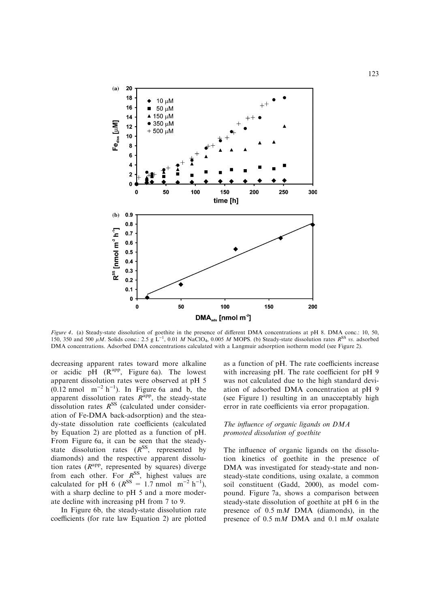

Figure 4. (a) Steady-state dissolution of goethite in the presence of different DMA concentrations at pH 8. DMA conc.: 10, 50, 150, 350 and 500  $\mu$ M. Solids conc.: 2.5 g L<sup>-1</sup>, 0.01 M NaClO<sub>4</sub>, 0.005 M MOPS. (b) Steady-state dissolution rates R<sup>SS</sup> vs. adsorbed DMA concentrations. Adsorbed DMA concentrations calculated with a Langmuir adsorption isotherm model (see Figure 2).

decreasing apparent rates toward more alkaline or acidic pH  $(R^{app}$ , Figure 6a). The lowest apparent dissolution rates were observed at pH 5  $(0.12 \text{ nmol} \text{ m}^{-2} \text{ h}^{-1})$ . In Figure 6a and b, the apparent dissolution rates  $R^{app}$ , the steady-state dissolution rates  $R^{SS}$  (calculated under consideration of Fe-DMA back-adsorption) and the steady-state dissolution rate coefficients (calculated by Equation 2) are plotted as a function of pH. From Figure 6a, it can be seen that the steadystate dissolution rates  $(R^{SS})$ , represented by diamonds) and the respective apparent dissolution rates  $(R^{app})$ , represented by squares) diverge from each other. For  $R^{SS}$ , highest values are calculated for pH 6 ( $R^{SS} = 1.7$  nmol  $m^{-2} h^{-1}$ ), with a sharp decline to pH 5 and a more moderate decline with increasing pH from 7 to 9.

In Figure 6b, the steady-state dissolution rate coefficients (for rate law Equation 2) are plotted as a function of pH. The rate coefficients increase with increasing pH. The rate coefficient for pH 9 was not calculated due to the high standard deviation of adsorbed DMA concentration at pH 9 (see Figure 1) resulting in an unacceptably high error in rate coefficients via error propagation.

# The influence of organic ligands on DMA promoted dissolution of goethite

The influence of organic ligands on the dissolution kinetics of goethite in the presence of DMA was investigated for steady-state and nonsteady-state conditions, using oxalate, a common soil constituent (Gadd, 2000), as model compound. Figure 7a, shows a comparison between steady-state dissolution of goethite at pH 6 in the presence of  $0.5 \text{ m}$  DMA (diamonds), in the presence of 0.5 mM DMA and 0.1 mM oxalate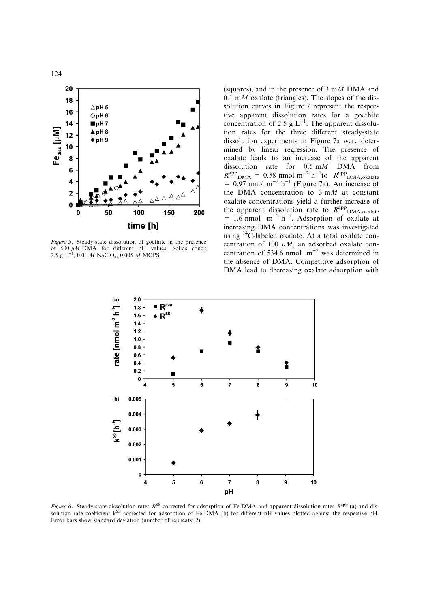

Figure 5. Steady-state dissolution of goethite in the presence of 500  $\mu$ M DMA for different pH values. Solids conc.: 2.5 g L<sup>-1</sup>, 0.01 *M* NaClO<sub>4</sub>, 0.005  $\hat{M}$  MOPS.

(squares), and in the presence of  $3 \text{ mM}$  DMA and  $0.1 \text{ m}$  oxalate (triangles). The slopes of the dissolution curves in Figure 7 represent the respective apparent dissolution rates for a goethite concentration of 2.5 g  $L^{-1}$ . The apparent dissolution rates for the three different steady-state dissolution experiments in Figure 7a were determined by linear regression. The presence of oxalate leads to an increase of the apparent dissolution rate for  $0.5 \text{ m}$  DMA from  $R^{\text{app}}_{\text{DMA}} = 0.58 \text{ nmol m}^{-2} \text{ h}^{-1}$ to  $R^{\text{app}}_{\text{DMA},\text{oxalate}}$  $= 0.97$  nmol m<sup>-2</sup> h<sup>-1</sup> (Figure 7a). An increase of the DMA concentration to  $3 \text{ m}$  at constant oxalate concentrations yield a further increase of the apparent dissolution rate to  $R^{\text{app}}_{\text{DMA},\text{oxalate}}$  $= 1.6$  nmol m<sup>-2</sup> h<sup>-1</sup>. Adsorption of oxalate at increasing DMA concentrations was investigated using <sup>14</sup>C-labeled oxalate. At a total oxalate concentration of 100  $\mu$ M, an adsorbed oxalate concentration of 534.6 nmol  $m^{-2}$  was determined in the absence of DMA. Competitive adsorption of DMA lead to decreasing oxalate adsorption with



Figure 6. Steady-state dissolution rates  $R^{SS}$  corrected for adsorption of Fe-DMA and apparent dissolution rates  $R^{app}$  (a) and dissolution rate coefficient k<sup>SS</sup> corrected for adsorption of Fe-DMA (b) for different pH values plotted against the respective pH. Error bars show standard deviation (number of replicats: 2).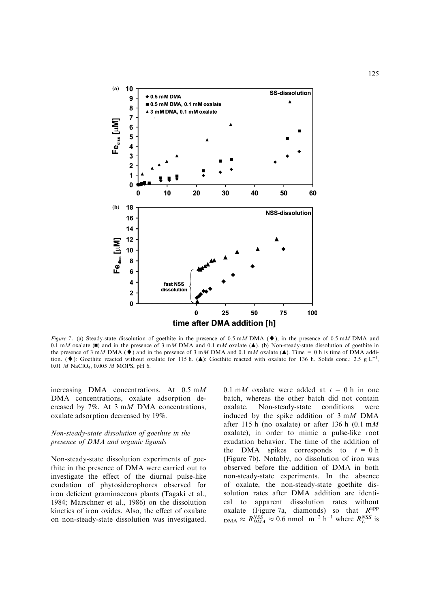

Figure 7. (a) Steady-state dissolution of goethite in the presence of 0.5 mM DMA ( $\blacklozenge$ ), in the presence of 0.5 mM DMA and 0.1 mM oxalate  $(\blacksquare)$  and in the presence of 3 mM DMA and 0.1 mM oxalate  $(\blacktriangle)$ . (b) Non-steady-state dissolution of goethite in the presence of 3 mM DMA ( $\bullet$ ) and in the presence of 3 mM DMA and 0.1 mM oxalate ( $\bullet$ ). Time = 0 h is time of DMA addition. ( $\blacklozenge$ ): Goethite reacted without oxalate for 115 h. (A): Goethite reacted with oxalate for 136 h. Solids conc.: 2.5 g L<sup>-1</sup>, 0.01 *M* NaClO<sub>4</sub>, 0.005 *M* MOPS, pH 6.

increasing DMA concentrations. At 0.5 mM DMA concentrations, oxalate adsorption decreased by 7%. At 3 mM DMA concentrations, oxalate adsorption decreased by 19%.

## Non-steady-state dissolution of goethite in the presence of DMA and organic ligands

Non-steady-state dissolution experiments of goethite in the presence of DMA were carried out to investigate the effect of the diurnal pulse-like exudation of phytosiderophores observed for iron deficient graminaceous plants (Tagaki et al., 1984; Marschner et al., 1986) on the dissolution kinetics of iron oxides. Also, the effect of oxalate on non-steady-state dissolution was investigated. 0.1 mM oxalate were added at  $t = 0$  h in one batch, whereas the other batch did not contain oxalate. Non-steady-state conditions were induced by the spike addition of  $3 \text{ mM}$  DMA after 115 h (no oxalate) or after 136 h  $(0.1 \text{ m})$ oxalate), in order to mimic a pulse-like root exudation behavior. The time of the addition of the DMA spikes corresponds to  $t = 0$  h (Figure 7b). Notably, no dissolution of iron was observed before the addition of DMA in both non-steady-state experiments. In the absence of oxalate, the non-steady-state goethite dissolution rates after DMA addition are identical to apparent dissolution rates without oxalate (Figure 7a, diamonds) so that  $R^{\text{app}}$  $_{\text{DMA}} \approx R_{\text{DMA}}^{\text{NSS}} \approx 0.6 \text{ nmol} \text{ m}^{-2} \text{ h}^{-1}$  where  $R_L^{\text{NSS}}$  is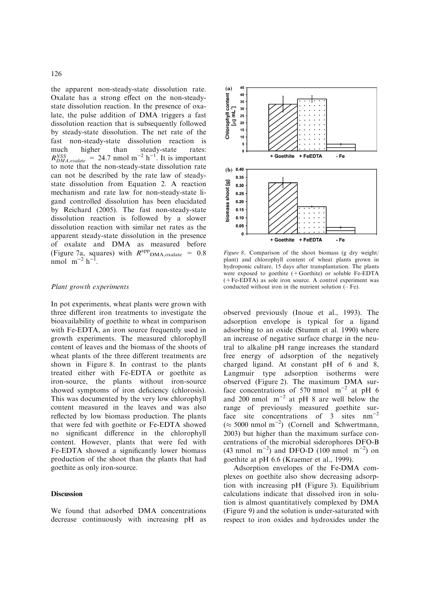the apparent non-steady-state dissolution rate. Oxalate has a strong effect on the non-steadystate dissolution reaction. In the presence of oxalate, the pulse addition of DMA triggers a fast dissolution reaction that is subsequently followed by steady-state dissolution. The net rate of the fast non-steady-state dissolution reaction is much higher than steady-state rates:  $R_{DMA,oxalate}^{NSS}$  = 24.7 nmol m<sup>-2</sup> h<sup>-1</sup>. It is important to note that the non-steady-state dissolution rate can not be described by the rate law of steadystate dissolution from Equation 2. A reaction mechanism and rate law for non-steady-state ligand controlled dissolution has been elucidated by Reichard (2005). The fast non-steady-state dissolution reaction is followed by a slower dissolution reaction with similar net rates as the apparent steady-state dissolution in the presence of oxalate and DMA as measured before (Figure 7a, squares) with  $R^{\text{app}}_{\text{DMA},\text{oxalate}} = 0.8$ nmol  $m^{-2}$  h<sup>-1</sup>.

#### Plant growth experiments

In pot experiments, wheat plants were grown with three different iron treatments to investigate the bioavailability of goethite to wheat in comparison with Fe-EDTA, an iron source frequently used in growth experiments. The measured chlorophyll content of leaves and the biomass of the shoots of wheat plants of the three different treatments are shown in Figure 8. In contrast to the plants treated either with Fe-EDTA or goethite as iron-source, the plants without iron-source showed symptoms of iron deficiency (chlorosis). This was documented by the very low chlorophyll content measured in the leaves and was also reflected by low biomass production. The plants that were fed with goethite or Fe-EDTA showed no significant difference in the chlorophyll content. However, plants that were fed with Fe-EDTA showed a significantly lower biomass production of the shoot than the plants that had goethite as only iron-source.

#### Discussion

We found that adsorbed DMA concentrations decrease continuously with increasing pH as



Figure 8. Comparison of the shoot biomass (g dry weight/ plant) and chlorophyll content of wheat plants grown in hydroponic culture, 15 days after transplantation. The plants were exposed to goethite (+Goethite) or soluble Fe-EDTA (+Fe-EDTA) as sole iron source. A control experiment was conducted without iron in the nutrient solution  $(-Fe)$ .

observed previously (Inoue et al., 1993). The adsorption envelope is typical for a ligand adsorbing to an oxide (Stumm et al. 1990) where an increase of negative surface charge in the neutral to alkaline pH range increases the standard free energy of adsorption of the negatively charged ligand. At constant pH of 6 and 8, Langmuir type adsorption isotherms were observed (Figure 2). The maximum DMA surface concentrations of 570 nmol  $m^{-2}$  at pH 6 and 200 nmol  $m^{-2}$  at pH 8 are well below the range of previously measured goethite surface site concentrations of 3 sites  $nm^{-2}$  $(\approx 5000 \text{ nmol m}^{-2})$  (Cornell and Schwertmann, 2003) but higher than the maximum surface concentrations of the microbial siderophores DFO-B  $(43 \text{ nmol} \text{ m}^{-2})$  and DFO-D  $(100 \text{ nmol} \text{ m}^{-2})$  on goethite at pH 6.6 (Kraemer et al., 1999).

Adsorption envelopes of the Fe-DMA complexes on goethite also show decreasing adsorption with increasing pH (Figure 3). Equilibrium calculations indicate that dissolved iron in solution is almost quantitatively complexed by DMA (Figure 9) and the solution is under-saturated with respect to iron oxides and hydroxides under the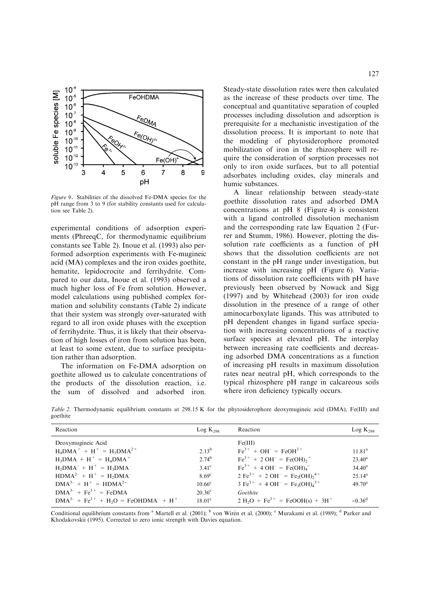

Figure 9. Stabilities of the dissolved Fe-DMA species for the pH range from 3 to 9 (for stability constants used for calculation see Table 2).

experimental conditions of adsorption experiments (PhreeqC, for thermodynamic equilibrium constants see Table 2). Inoue et al. (1993) also performed adsorption experiments with Fe-mugineic acid (MA) complexes and the iron oxides goethite, hematite, lepidocrocite and ferrihydrite. Compared to our data, Inoue et al. (1993) observed a much higher loss of Fe from solution. However, model calculations using published complex formation and solubility constants (Table 2) indicate that their system was strongly over-saturated with regard to all iron oxide phases with the exception of ferrihydrite. Thus, it is likely that their observation of high losses of iron from solution has been, at least to some extent, due to surface precipitation rather than adsorption.

The information on Fe-DMA adsorption on goethite allowed us to calculate concentrations of the products of the dissolution reaction, i.e. the sum of dissolved and adsorbed iron.

Steady-state dissolution rates were then calculated as the increase of these products over time. The conceptual and quantitative separation of coupled processes including dissolution and adsorption is prerequisite for a mechanistic investigation of the dissolution process. It is important to note that the modeling of phytosiderophore promoted mobilization of iron in the rhizosphere will require the consideration of sorption processes not only to iron oxide surfaces, but to all potential adsorbates including oxides, clay minerals and humic substances.

A linear relationship between steady-state goethite dissolution rates and adsorbed DMA concentrations at pH 8 (Figure 4) is consistent with a ligand controlled dissolution mechanism and the corresponding rate law Equation 2 (Furrer and Stumm, 1986). However, plotting the dissolution rate coefficients as a function of pH shows that the dissolution coefficients are not constant in the pH range under investigation, but increase with increasing pH (Figure 6). Variations of dissolution rate coefficients with pH have previously been observed by Nowack and Sigg (1997) and by Whitehead (2003) for iron oxide dissolution in the presence of a range of other aminocarboxylate ligands. This was attributed to pH dependent changes in ligand surface speciation with increasing concentrations of a reactive surface species at elevated pH. The interplay between increasing rate coefficients and decreasing adsorbed DMA concentrations as a function of increasing pH results in maximum dissolution rates near neutral pH, which corresponds to the typical rhizosphere pH range in calcareous soils where iron deficiency typically occurs.

Table 2. Thermodynamic equilibrium constants at 298.15 K for the phytosiderophore deoxymugineic acid (DMA), Fe(III) and goethite

| Reaction                                                                   | $Log K_{298}$      | Reaction                                                               | $Log K_{298}$      |
|----------------------------------------------------------------------------|--------------------|------------------------------------------------------------------------|--------------------|
| Deoxymugineic Acid                                                         |                    | Fe(III)                                                                |                    |
| $H_4$ DMA <sup>+</sup> + H <sup>+</sup> = H <sub>5</sub> DMA <sup>2+</sup> | $2.13^{b}$         | $Fe^{3+} + OH^{-} = FeOH^{2+}$                                         | 11.81 <sup>a</sup> |
| $H_3$ DMA + H <sup>+</sup> = $H_4$ DMA <sup>+</sup>                        | $2.74^{b}$         | $Fe^{3+}$ + 2 OH <sup>-</sup> = Fe(OH) <sub>2</sub> <sup>+</sup>       | $23.40^{\rm a}$    |
| $H_2$ DMA <sup>-</sup> + H <sup>+</sup> = H <sub>3</sub> DMA               | $3.41^\circ$       | $Fe^{3+} + 4 \text{ OH}^{-} = Fe(OH)4^{-}$                             | $34.40^{\rm a}$    |
| $HDMA^{2-} + H^{+} = H_2DMA^{-}$                                           | 8.69 <sup>c</sup>  | $2 \text{ Fe}^{3+} + 2 \text{ OH}^{-} = \text{Fe}_2(\text{OH})_2^{4+}$ | $25.14^a$          |
| $DMA^{3-} + H^{+} = HDMA^{2-}$                                             | 10.66 <sup>c</sup> | $3 \text{ Fe}^{3+} + 4 \text{ OH}^{-} = \text{Fe}_3(\text{OH})_4^{5+}$ | $49.70^{\rm a}$    |
| $\text{DMA}^{3-}$ + Fe <sup>3+</sup> = FeDMA                               | $20.36^{\circ}$    | Goethite                                                               |                    |
| $DMA^{3-} + Fe^{3+} + H_2O = FeOHDMA^{-} + H^{+}$                          | $18.01^{\circ}$    | $2 H_2O + Fe^{3+} = FeOOH(s) + 3H^+$                                   | $-0.36^d$          |

Conditional equilibrium constants from <sup>a</sup> Martell et al. (2001); <sup>b</sup> von Wirén et al. (2000); <sup>c</sup> Murakami et al. (1989); <sup>d</sup> Parker and Khodakovskii (1995). Corrected to zero ionic strength with Davies equation.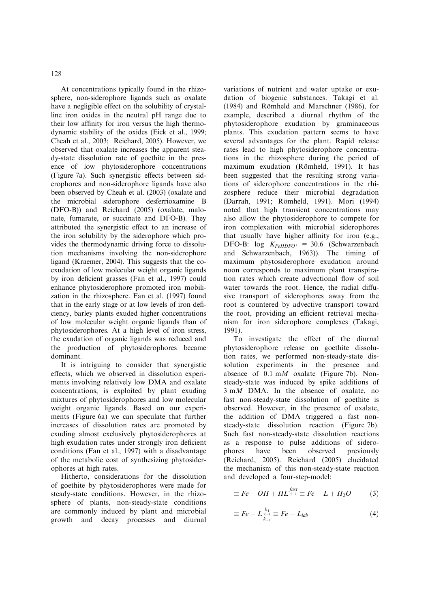At concentrations typically found in the rhizosphere, non-siderophore ligands such as oxalate have a negligible effect on the solubility of crystalline iron oxides in the neutral pH range due to their low affinity for iron versus the high thermodynamic stability of the oxides (Eick et al., 1999; Cheah et al., 2003; Reichard, 2005). However, we observed that oxalate increases the apparent steady-state dissolution rate of goethite in the presence of low phytosiderophore concentrations (Figure 7a). Such synergistic effects between siderophores and non-siderophore ligands have also been observed by Cheah et al. (2003) (oxalate and the microbial siderophore desferrioxamine B (DFO-B)) and Reichard (2005) (oxalate, malonate, fumarate, or succinate and DFO-B). They attributed the synergistic effect to an increase of the iron solubility by the siderophore which provides the thermodynamic driving force to dissolution mechanisms involving the non-siderophore ligand (Kraemer, 2004). This suggests that the coexudation of low molecular weight organic ligands by iron deficient grasses (Fan et al., 1997) could enhance phytosiderophore promoted iron mobilization in the rhizosphere. Fan et al. (1997) found that in the early stage or at low levels of iron deficiency, barley plants exuded higher concentrations of low molecular weight organic ligands than of phytosiderophores. At a high level of iron stress, the exudation of organic ligands was reduced and the production of phytosiderophores became dominant.

It is intriguing to consider that synergistic effects, which we observed in dissolution experiments involving relatively low DMA and oxalate concentrations, is exploited by plant exuding mixtures of phytosiderophores and low molecular weight organic ligands. Based on our experiments (Figure 6a) we can speculate that further increases of dissolution rates are promoted by exuding almost exclusively phytosiderophores at high exudation rates under strongly iron deficient conditions (Fan et al., 1997) with a disadvantage of the metabolic cost of synthesizing phytosiderophores at high rates.

Hitherto, considerations for the dissolution of goethite by phytosiderophores were made for steady-state conditions. However, in the rhizosphere of plants, non-steady-state conditions are commonly induced by plant and microbial growth and decay processes and diurnal

variations of nutrient and water uptake or exudation of biogenic substances. Takagi et al. (1984) and Römheld and Marschner (1986), for example, described a diurnal rhythm of the phytosiderophore exudation by graminaceous plants. This exudation pattern seems to have several advantages for the plant. Rapid release rates lead to high phytosiderophore concentrations in the rhizosphere during the period of maximum exudation (Römheld, 1991). It has been suggested that the resulting strong variations of siderophore concentrations in the rhizosphere reduce their microbial degradation (Darrah, 1991; Römheld, 1991). Mori (1994) noted that high transient concentrations may also allow the phytosiderophore to compete for iron complexation with microbial siderophores that usually have higher affinity for iron (e.g., DFO-B: log  $K_{FeHDFO^+}$  = 30.6 (Schwarzenbach and Schwarzenbach, 1963)). The timing of maximum phytosiderophore exudation around noon corresponds to maximum plant transpiration rates which create advectional flow of soil water towards the root. Hence, the radial diffusive transport of siderophores away from the root is countered by advective transport toward the root, providing an efficient retrieval mechanism for iron siderophore complexes (Takagi, 1991).

To investigate the effect of the diurnal phytosiderophore release on goethite dissolution rates, we performed non-steady-state dissolution experiments in the presence and absence of  $0.1 \text{ m}$  oxalate (Figure 7b). Nonsteady-state was induced by spike additions of 3 mM DMA. In the absence of oxalate, no fast non-steady-state dissolution of goethite is observed. However, in the presence of oxalate, the addition of DMA triggered a fast nonsteady-state dissolution reaction (Figure 7b). Such fast non-steady-state dissolution reactions as a response to pulse additions of siderophores have been observed previously (Reichard, 2005). Reichard (2005) elucidated the mechanism of this non-steady-state reaction and developed a four-step-model:

$$
\equiv Fe-OH + HL \stackrel{fast}{\leftrightarrow} \equiv Fe-L + H_2O \tag{3}
$$

$$
\equiv Fe - L \underset{k_{-1}}{\leftrightarrow} \equiv Fe - L_{lab} \tag{4}
$$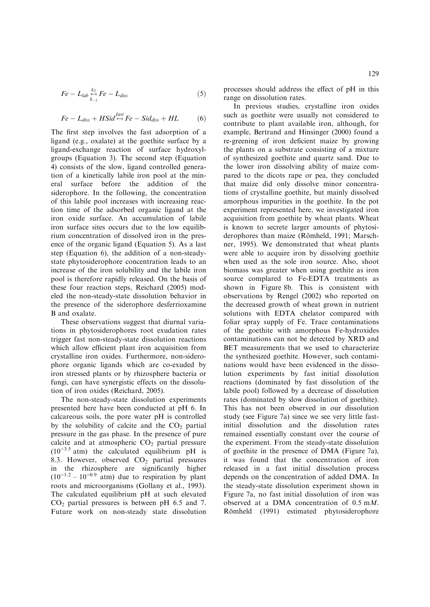$$
Fe-L_{lab} \underset{k_{-2}}{\leftrightarrow} Fe-L_{diss}
$$
 (5)

$$
Fe-Ldiss + HSidfastFe-Siddiss + HL
$$
 (6)

The first step involves the fast adsorption of a ligand (e.g., oxalate) at the goethite surface by a ligand-exchange reaction of surface hydroxylgroups (Equation 3). The second step (Equation 4) consists of the slow, ligand controlled generation of a kinetically labile iron pool at the mineral surface before the addition of the siderophore. In the following, the concentration of this labile pool increases with increasing reaction time of the adsorbed organic ligand at the iron oxide surface. An accumulation of labile iron surface sites occurs due to the low equilibrium concentration of dissolved iron in the presence of the organic ligand (Equation 5). As a last step (Equation 6), the addition of a non-steadystate phytosiderophore concentration leads to an increase of the iron solubility and the labile iron pool is therefore rapidly released. On the basis of these four reaction steps, Reichard (2005) modeled the non-steady-state dissolution behavior in the presence of the siderophore desferrioxamine B and oxalate.

These observations suggest that diurnal variations in phytosiderophores root exudation rates trigger fast non-steady-state dissolution reactions which allow efficient plant iron acquisition from crystalline iron oxides. Furthermore, non-siderophore organic ligands which are co-exuded by iron stressed plants or by rhizosphere bacteria or fungi, can have synergistic effects on the dissolution of iron oxides (Reichard, 2005).

The non-steady-state dissolution experiments presented here have been conducted at pH 6. In calcareous soils, the pore water pH is controlled by the solubility of calcite and the  $CO<sub>2</sub>$  partial pressure in the gas phase. In the presence of pure calcite and at atmospheric  $CO<sub>2</sub>$  partial pressure  $(10^{-3.5}$  atm) the calculated equilibrium pH is 8.3. However, observed  $CO<sub>2</sub>$  partial pressures in the rhizosphere are significantly higher  $(10^{-1.2} - 10^{-0.9})$  atm) due to respiration by plant roots and microorganisms (Gollany et al., 1993). The calculated equilibrium pH at such elevated  $CO<sub>2</sub>$  partial pressures is between pH 6.5 and 7. Future work on non-steady state dissolution

processes should address the effect of pH in this range on dissolution rates.

In previous studies, crystalline iron oxides such as goethite were usually not considered to contribute to plant available iron, although, for example, Bertrand and Hinsinger (2000) found a re-greening of iron deficient maize by growing the plants on a substrate consisting of a mixture of synthesized goethite and quartz sand. Due to the lower iron dissolving ability of maize compared to the dicots rape or pea, they concluded that maize did only dissolve minor concentrations of crystalline goethite, but mainly dissolved amorphous impurities in the goethite. In the pot experiment represented here, we investigated iron acquisition from goethite by wheat plants. Wheat is known to secrete larger amounts of phytosiderophores than maize (Römheld, 1991; Marschner, 1995). We demonstrated that wheat plants were able to acquire iron by dissolving goethite when used as the sole iron source. Also, shoot biomass was greater when using goethite as iron source complared to Fe-EDTA treatments as shown in Figure 8b. This is consistent with observations by Rengel (2002) who reported on the decreased growth of wheat grown in nutrient solutions with EDTA chelator compared with foliar spray supply of Fe. Trace contaminations of the goethite with amorphous Fe-hydroxides contaminations can not be detected by XRD and BET measurements that we used to characterize the synthesized goethite. However, such contaminations would have been evidenced in the dissolution experiments by fast initial dissolution reactions (dominated by fast dissolution of the labile pool) followed by a decrease of dissolution rates (dominated by slow dissolution of goethite). This has not been observed in our dissolution study (see Figure 7a) since we see very little fastinitial dissolution and the dissolution rates remained essentially constant over the course of the experiment. From the steady-state dissolution of goethite in the presence of DMA (Figure 7a), it was found that the concentration of iron released in a fast initial dissolution process depends on the concentration of added DMA. In the steady-state dissolution experiment shown in Figure 7a, no fast initial dissolution of iron was observed at a DMA concentration of 0.5 mM. Römheld (1991) estimated phytosiderophore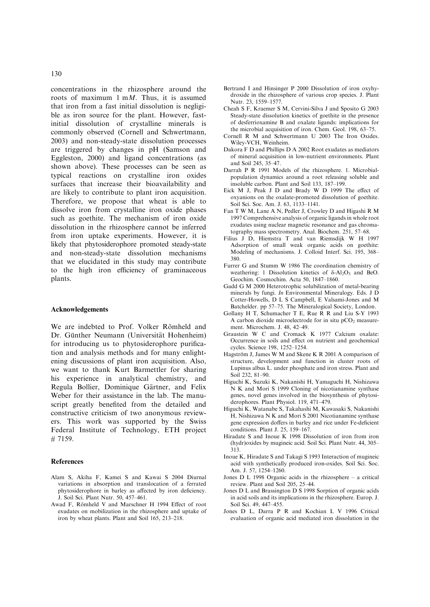concentrations in the rhizosphere around the roots of maximum 1 mM. Thus, it is assumed that iron from a fast initial dissolution is negligible as iron source for the plant. However, fastinitial dissolution of crystalline minerals is commonly observed (Cornell and Schwertmann, 2003) and non-steady-state dissolution processes are triggered by changes in pH (Samson and Eggleston, 2000) and ligand concentrations (as shown above). These processes can be seen as typical reactions on crystalline iron oxides surfaces that increase their bioavailability and are likely to contribute to plant iron acquisition. Therefore, we propose that wheat is able to dissolve iron from crystalline iron oxide phases such as goethite. The mechanism of iron oxide dissolution in the rhizosphere cannot be inferred from iron uptake experiments. However, it is likely that phytosiderophore promoted steady-state and non-steady-state dissolution mechanisms that we elucidated in this study may contribute to the high iron efficiency of graminaceous plants.

#### Acknowledgements

We are indebted to Prof. Volker Römheld and Dr. Günther Neumann (Universität Hohenheim) for introducing us to phytosiderophore purification and analysis methods and for many enlightening discussions of plant iron acquisition. Also, we want to thank Kurt Barmettler for sharing his experience in analytical chemistry, and Regula Bollier, Dominique Gärtner, and Felix Weber for their assistance in the lab. The manuscript greatly benefited from the detailed and constructive criticism of two anonymous reviewers. This work was supported by the Swiss Federal Institute of Technology, ETH project # 7159.

#### References

- Alam S, Akiha F, Kamei S and Kawai S 2004 Diurnal variations in absorption and translocation of a ferrated phytosiderophore in barley as affected by iron deficiency. J. Soil Sci. Plant Nutr. 50, 457–461.
- Awad F, Römheld V and Marschner H 1994 Effect of root exudates on mobilization in the rhizosphere and uptake of iron by wheat plants. Plant and Soil 165, 213–218.
- Bertrand I and Hinsinger P 2000 Dissolution of iron oxyhydroxide in the rhizosphere of various crop species. J. Plant Nutr. 23, 1559–1577.
- Cheah S F, Kraemer S M, Cervini-Silva J and Sposito G 2003 Steady-state dissolution kinetics of goethite in the presence of desferrioxamine B and oxalate ligands: implications for the microbial acquisition of iron. Chem. Geol. 198, 63–75.
- Cornell R M and Schwertmann U 2003 The Iron Oxides. Wiley-VCH, Weinheim.
- Dakora F D and Phillips D A 2002 Root exudates as mediators of mineral acquisition in low-nutrient environments. Plant and Soil 245, 35–47.
- Darrah P R 1991 Models of the rhizosphere. 1. Microbialpopulation dynamics around a root releasing soluble and insoluble carbon. Plant and Soil 133, 187–199.
- Eick M J, Peak J D and Brady W D 1999 The effect of oxyanions on the oxalate-promoted dissolution of goethite. Soil Sci. Soc. Am. J. 63, 1133–1141.
- Fan T W M, Lane A N, Pedler J, Crowley D and Higashi R M 1997 Comprehensive analysis of organic ligands in whole root exudates using nuclear magnetic resonance and gas chromatography mass spectrometry. Anal. Biochem. 251, 57–68.
- Filius J D, Hiemstra T and van Riemsdijk W H 1997 Adsorption of small weak organic acids on goethite: Modeling of mechanisms. J. Colloid Interf. Sci. 195, 368– 380.
- Furrer G and Stumm W 1986 The coordination chemistry of weathering: 1 Dissolution kinetics of  $\delta$ -Al<sub>2</sub>O<sub>3</sub> and BeO. Geochim. Cosmochim. Acta 50, 1847–1860.
- Gadd G M 2000 Heterotrophic solubilization of metal-bearing minerals by fungi. In Environmental Mineralogy. Eds. J D Cotter-Howells, D L S Campbell, E Valsami-Jones and M Batchelder. pp 57–75. The Mineralogical Society, London.
- Gollany H T, Schumacher T E, Rue R R and Liu S-Y 1993 A carbon dioxide microelectrode for in situ  $pCO<sub>2</sub>$  measurement. Microchem. J. 48, 42–49.
- Graustein W C and Cromack K 1977 Calcium oxalate: Occurrence in soils and effect on nutrient and geochemical cycles. Science 198, 1252–1254.
- Hagström J, James W M and Skene K R 2001 A comparison of structure, development and function in cluster roots of Lupinus albus L. under phosphate and iron stress. Plant and Soil 232, 81–90.
- Higuchi K, Suzuki K, Nakanishi H, Yamaguchi H, Nishizawa N K and Mori S 1999 Cloning of nicotianamine synthase genes, novel genes involved in the biosynthesis of phytosiderophores. Plant Physiol. 119, 471–479.
- Higuchi K, Watanabe S, Takahashi M, Kawasaki S, Nakanishi H, Nishizawa N K and Mori S 2001 Nicotianamine synthase gene expression doffers in barley and rice under Fe-deficient conditions. Plant J. 25, 159–167.
- Hiradate S and Inoue K 1998 Dissolution of iron from iron (hydr)oxides by mugineic acid. Soil Sci. Plant Nutr. 44, 305– 313.
- Inoue K, Hiradate S and Takagi S 1993 Interaction of mugineic acid with synthetically produced iron-oxides. Soil Sci. Soc. Am. J. 57, 1254–1260.
- Jones D L 1998 Organic acids in the rhizosphere a critical review. Plant and Soil 205, 25–44.
- Jones D L and Brassington D S 1998 Sorption of organic acids in acid soils and its implications in the rhizosphere. Europ. J. Soil Sci. 49, 447–455.
- Jones D L, Darra P R and Kochian L V 1996 Critical evaluation of organic acid mediated iron dissolution in the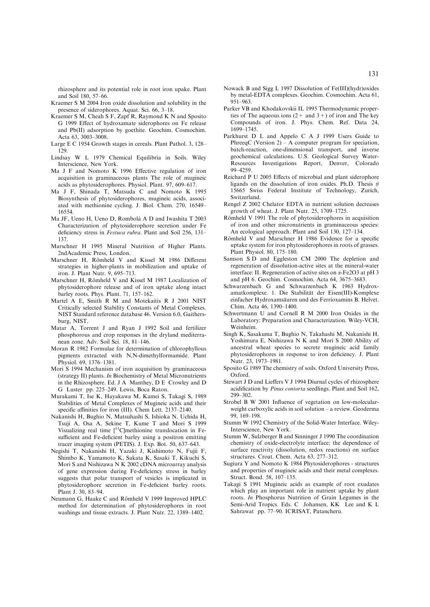rhizosphere and its potential role in root iron upake. Plant and Soil 180, 57–66.

- Kraemer S M 2004 Iron oxide dissolution and solubility in the presence of siderophores. Aquat. Sci. 66, 3–18.
- Kraemer S M, Cheah S F, Zapf R, Raymond K N and Sposito G 1999 Effect of hydroxamate siderophores on Fe release and Pb(II) adsorption by goethite. Geochim. Cosmochim. Acta 63, 3003–3008.
- Large E C 1954 Growth stages in cereals. Plant Pathol. 3, 128– 129.
- Lindsay W L 1979 Chemical Equilibria in Soils. Wiley Interscience, New York.
- Ma J F and Nomoto K 1996 Effective regulation of iron acquisition in graminaceous plants The role of mugineic acids as phytosiderophores. Physiol. Plant. 97, 609–617.
- Ma J F, Shinada T, Matsuda C and Nomoto K 1995 Biosynthesis of phytosiderophores, mugineic acids, associated with methionine cycling. J. Biol. Chem. 270, 16549– 16554.
- Ma JF, Ueno H, Ueno D, Rombolà A D and Iwashita T 2003 Characterization of phytosiderophore secretion under Fe deficiency stress in Festuca rubra. Plant and Soil 256, 131– 137.
- Marschner H 1995 Mineral Nutrition of Higher Plants. 2ndAcademic Press, London.
- Marschner H, Römheld V and Kissel M 1986 Different strategies in higher-plants in mobilization and uptake of iron. J. Plant Nutr. 9, 695–713.
- Marschner H, Römheld V and Kissel M 1987 Localization of phytosiderophore release and of iron uptake along intact barley roots. Phys. Plant. 71, 157–162.
- Martel A E, Smith R M and Motekaitis R J 2001 NIST Critically selected Stability Constants of Metal Complexes. NIST Standard reference database 46. Version 6.0, Gaithersburg, NIST.
- Matar A, Torrent J and Ryan J 1992 Soil and fertilizer phosphorous and crop responses in the dryland mediterranean zone. Adv. Soil Sci. 18, 81–146.
- Moran R 1982 Formulae for determination of chlorophyllous pigments extracted with N,N-dimethylformamide. Plant Physiol. 69, 1376–1381.
- Mori S 1994 Mechanism of iron acquisition by graminaceous (strategy II) plants. In Biochemistry of Metal Micronutrients in the Rhizosphere. Ed. J A Manthey, D E Crowley and D G Luster pp. 225–249. Lewis, Boca Raton.
- Murakami T, Ise K, Hayakawa M, Kamei S, Takagi S, 1989 Stabilities of Metal Complexes of Mugineic acids and their specific affinities for iron (III). Chem Lett. 2137–2140.
- Nakanishi H, Bughio N, Matsuhashi S, Ishioka N, Uchida H, Tsuji A, Osa A, Sekine T, Kume T and Mori S 1999 Visualizing real time  $\int_1^1$ C methionine translocation in Fesufficient and Fe-deficient barley using a positron emitting tracer imaging system (PETIS). J. Exp. Bot. 50, 637–643.
- Negishi T, Nakanishi H, Yazaki J, Kishimoto N, Fujii F, Shimbo K, Yamamoto K, Sakata K, Sasaki T, Kikuchi S, Mori S and Nishizawa N K 2002 cDNA microarray analysis of gene expression during Fe-deficiency stress in barley suggests that polar transport of vesicles is implicated in phytosiderophore secretion in Fe-deficient barley roots. Plant J. 30, 83–94.
- Neumann G, Haake C and Römheld V 1999 Improved HPLC method for determination of phytosiderophores in root washings and tissue extracts. J. Plant Nutr. 22, 1389–1402.
- Nowack B and Sigg L 1997 Dissolution of Fe(III)(hydr)oxides by metal-EDTA complexes. Geochim. Cosmochim. Acta 61, 951–963.
- Parker VB and Khodakovskii IL 1995 Thermodynamic properties of The aqueous ions  $(2 +$  and  $3+$ ) of iron and The key Compounds of iron. J. Phys. Chem. Ref. Data 24, 1699–1745.
- Parkhurst D L and Appelo C A J 1999 Users Guide to PhreeqC (Version  $2$ ) – A computer program for speciation, batch-reaction, one-dimensional transport, and inverse geochemical calculations. U.S. Geological Survey Water-Resources Investigations Report, Denver, Colorado 99–4259.
- Reichard P U 2005 Effects of microbial and plant siderophore ligands on the dissolution of iron oxides. Ph.D. Thesis # 15665 Swiss Federal Institute of Technology, Zurich, Switzerland.
- Rengel Z 2002 Chelator EDTA in nutrient solution decreases growth of wheat. J. Plant Nutr. 25, 1709–1725.
- Römheld V 1991 The role of phytosiderophores in acquisition of iron and other micronutrients in graminaceous species: An ecological approach. Plant and Soil 130, 127–134.
- Römheld V and Marschner H 1986 Evidence for a specific uptake system for iron phytosiderophores in roots of grasses. Plant Physiol. 80, 175–180.
- Samson S D and Eggleston CM 2000 The depletion and regeneration of dissolution-active sites at the mineral-water interface: II. Regeneration of active sites on a-Fe2O3 at pH 3 and pH 6. Geochim. Cosmochim. Acta 64, 3675–3683.
- Schwarzenbach G and Schwarzenbach K 1963 Hydroxamatkomplexe. 1. Die Stabilität der Eisen(III)-Komplexe einfacher Hydroxamsäuren und des Ferrioxamins B. Helvet. Chim. Acta 46, 1390–1400.
- Schwertmann U and Cornell R M 2000 Iron Oxides in the Laboratory: Preparation and Characterization. Wiley-VCH, Weinheim.
- Singh K, Sasakuma T, Bughio N, Takahashi M, Nakanishi H, Yoshimura E, Nishizawa N K and Mori S 2000 Ability of ancestral wheat species to secrete mugineic acid family phytosiderophores in response to iron deficiency. J. Plant Nutr. 23, 1973–1981.
- Sposito G 1989 The chemistry of soils. Oxford University Press, Oxford.
- Stewart J D and Lieffers V J 1994 Diurnal cycles of rhizosphere acidification by Pinus contorta seedlings. Plant and Soil 162, 299–302.
- Strobel B W 2001 Influence of vegetation on low-molecularweight carboxylic acids in soil solution – a review. Geoderma 99, 169–198.
- Stumm W 1992 Chemistry of the Solid-Water Interface. Wiley-Interscience, New York.
- Stumm W, Sulzberger B and Sinninger J 1990 The coordination chemistry of oxide-electrolyte interface; the dependence of surface reactivity (dissolution, redox reactions) on surface structures. Croat. Chem. Acta 63, 277–312.
- Sugiura Y and Nomoto K 1984 Phytosiderophores structures and properties of mugineic acids and their metal complexes. Struct. Bond. 58, 107–135.
- Takagi S 1991 Mugineic acids as example of root exudates which play an important role in nutrient uptake by plant roots. In Phosphorus Nutrition of Grain Legumes in the Semi-Arid Tropics. Eds. C Johansen, KK Lee and K L Sahrawat pp. 77–90. ICRISAT, Patancheru.